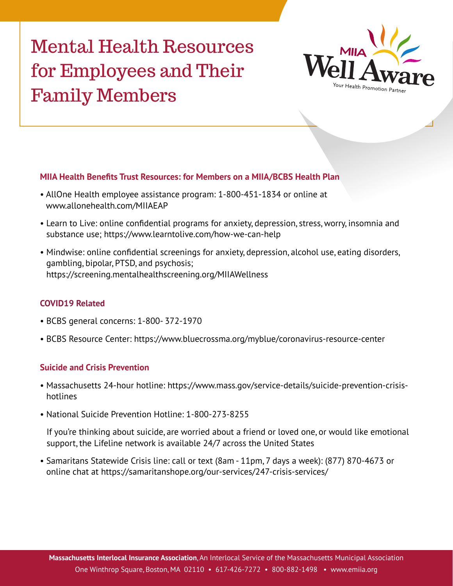# Mental Health Resources for Employees and Their Family Members



#### **MIIA Health Benefits Trust Resources: for Members on a MIIA/BCBS Health Plan**

- AllOne Health employee assistance program: 1-800-451-1834 or online at [www.allonehealth.com/MIIAEAP](https://allonehealth.com/miiaeap/)
- Learn to Live: online confidential programs for anxiety, depression, stress, worry, insomnia and substance use; https://www.learntolive.com/how-we-can-help
- Mindwise: online confidential screenings for anxiety, depression, alcohol use, eating disorders, gambling, bipolar, PTSD, and psychosis; https://screening.mentalhealthscreening.org/MIIAWellness

#### **COVID19 Related**

- BCBS general concerns: 1-800- 372-1970
- BCBS Resource Center: https://www.bluecrossma.org/myblue/coronavirus-resource-center

#### **Suicide and Crisis Prevention**

- Massachusetts 24-hour hotline: [https://www.mass.gov/service-details/suicide-prevention-crisis](https://www.mass.gov/service-details/suicide-prevention-crisis-hotlines)[hotlines](https://www.mass.gov/service-details/suicide-prevention-crisis-hotlines)
- National Suicide Prevention Hotline: 1-800-273-8255

If you're thinking about suicide, are worried about a friend or loved one, or would like emotional support, the Lifeline network is available 24/7 across the United States

• Samaritans Statewide Crisis line: call or text (8am - 11pm, 7 days a week): (877) 870-4673 or online chat at https://samaritanshope.org/our-services/247-crisis-services/